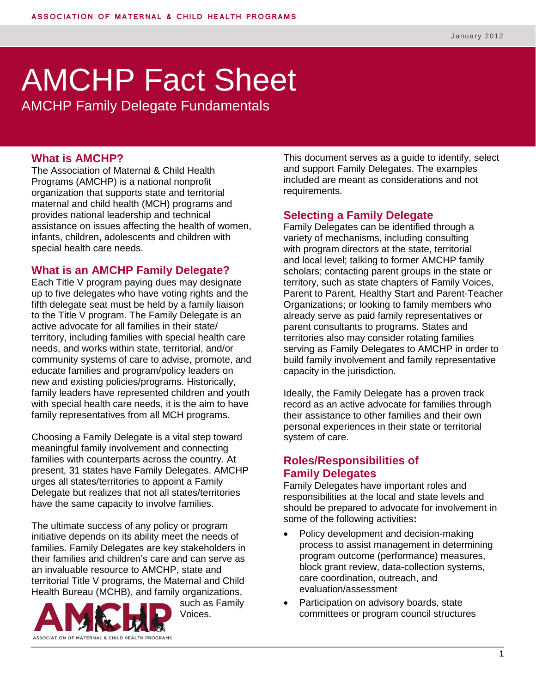# AMCHP Fact Sheet

AMCHP Family Delegate Fundamentals

#### **What is AMCHP?**

The Association of Maternal & Child Health Programs (AMCHP) is a national nonprofit organization that supports state and territorial maternal and child health (MCH) programs and provides national leadership and technical assistance on issues affecting the health of women, infants, children, adolescents and children with special health care needs.

#### **What is an AMCHP Family Delegate?**

Each Title V program paying dues may designate up to five delegates who have voting rights and the fifth delegate seat must be held by a family liaison to the Title V program. The Family Delegate is an active advocate for all families in their state/ territory, including families with special health care needs, and works within state, territorial, and/or community systems of care to advise, promote, and educate families and program/policy leaders on new and existing policies/programs. Historically, family leaders have represented children and youth with special health care needs, it is the aim to have family representatives from all MCH programs.

Choosing a Family Delegate is a vital step toward meaningful family involvement and connecting families with counterparts across the country. At present, 31 states have Family Delegates. AMCHP urges all states/territories to appoint a Family Delegate but realizes that not all states/territories have the same capacity to involve families.

The ultimate success of any policy or program initiative depends on its ability meet the needs of families. Family Delegates are key stakeholders in their families and children's care and can serve as an invaluable resource to AMCHP, state and territorial Title V programs, the Maternal and Child Health Bureau (MCHB), and family organizations,



such as Family Voices.

This document serves as a guide to identify, select and support Family Delegates. The examples included are meant as considerations and not requirements.

#### **Selecting a Family Delegate**

Family Delegates can be identified through a variety of mechanisms, including consulting with program directors at the state, territorial and local level; talking to former AMCHP family scholars; contacting parent groups in the state or territory, such as state chapters of Family Voices, Parent to Parent, Healthy Start and Parent-Teacher Organizations; or looking to family members who already serve as paid family representatives or parent consultants to programs. States and territories also may consider rotating families serving as Family Delegates to AMCHP in order to build family involvement and family representative capacity in the jurisdiction.

Ideally, the Family Delegate has a proven track record as an active advocate for families through their assistance to other families and their own personal experiences in their state or territorial system of care.

#### **Roles/Responsibilities of Family Delegates**

Family Delegates have important roles and responsibilities at the local and state levels and should be prepared to advocate for involvement in some of the following activities**:**

- Policy development and decision-making process to assist management in determining program outcome (performance) measures, block grant review, data-collection systems, care coordination, outreach, and evaluation/assessment
- Participation on advisory boards, state committees or program council structures